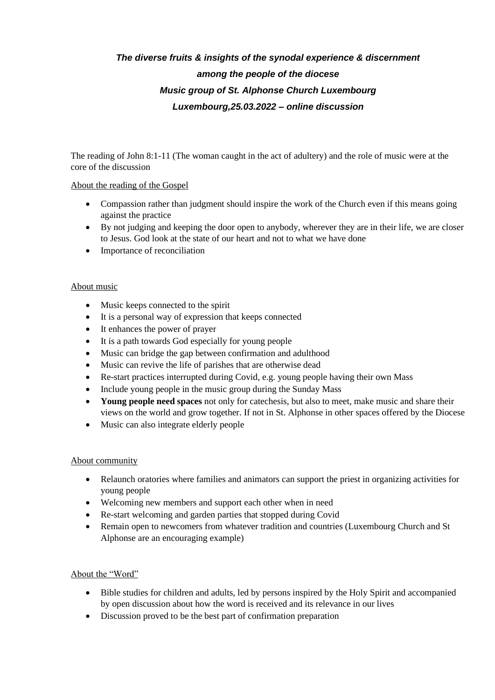# *The diverse fruits & insights of the synodal experience & discernment among the people of the diocese Music group of St. Alphonse Church Luxembourg Luxembourg,25.03.2022 – online discussion*

The reading of John 8:1-11 (The woman caught in the act of adultery) and the role of music were at the core of the discussion

# About the reading of the Gospel

- Compassion rather than judgment should inspire the work of the Church even if this means going against the practice
- By not judging and keeping the door open to anybody, wherever they are in their life, we are closer to Jesus. God look at the state of our heart and not to what we have done
- Importance of reconciliation

### About music

- Music keeps connected to the spirit
- It is a personal way of expression that keeps connected
- It enhances the power of prayer
- It is a path towards God especially for young people
- Music can bridge the gap between confirmation and adulthood
- Music can revive the life of parishes that are otherwise dead
- Re-start practices interrupted during Covid, e.g. young people having their own Mass
- Include young people in the music group during the Sunday Mass
- **Young people need spaces** not only for catechesis, but also to meet, make music and share their views on the world and grow together. If not in St. Alphonse in other spaces offered by the Diocese
- Music can also integrate elderly people

# About community

- Relaunch oratories where families and animators can support the priest in organizing activities for young people
- Welcoming new members and support each other when in need
- Re-start welcoming and garden parties that stopped during Covid
- Remain open to newcomers from whatever tradition and countries (Luxembourg Church and St Alphonse are an encouraging example)

# About the "Word"

- Bible studies for children and adults, led by persons inspired by the Holy Spirit and accompanied by open discussion about how the word is received and its relevance in our lives
- Discussion proved to be the best part of confirmation preparation